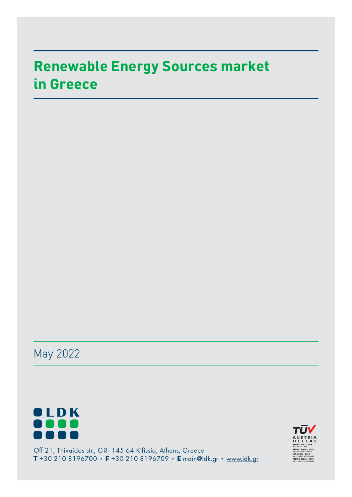# **Renewable Energy Sources market in Greece**

May 2022



Off 21, Thivaidos str., GR–145 64 Kifissia, Athens, Greece **T** +30 210 8196700 • **F** +30 210 8196709 • **E** main@ldk.gr • www.ldk.gr

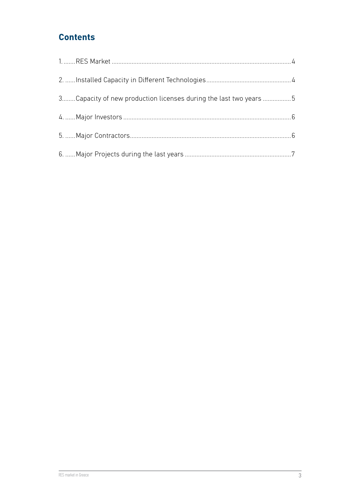## **Contents**

| 3Capacity of new production licenses during the last two years 5 |  |
|------------------------------------------------------------------|--|
|                                                                  |  |
|                                                                  |  |
|                                                                  |  |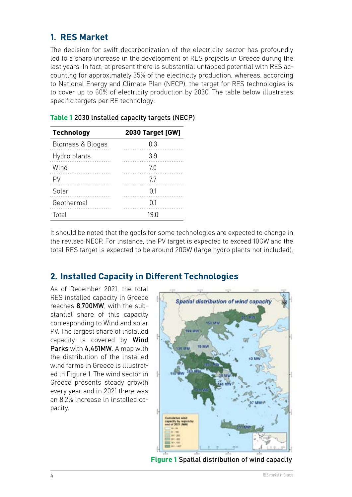#### <span id="page-3-0"></span>**1. RES Market**

The decision for swift decarbonization of the electricity sector has profoundly led to a sharp increase in the development of RES projects in Greece during the last years. In fact, at present there is substantial untapped potential with RES accounting for approximately 35% of the electricity production, whereas, according to National Energy and Climate Plan (NECP), the target for RES technologies is to cover up to 60% of electricity production by 2030. The table below illustrates specific targets per RE technology:

| <b>Technology</b> | <b>2030 Target [GW]</b> |  |  |
|-------------------|-------------------------|--|--|
| Biomass & Biogas  | ი ვ                     |  |  |
| Hydro plants      | 39                      |  |  |
| Wind              | 70                      |  |  |
|                   | 77                      |  |  |
| Solar             | በ 1                     |  |  |
| Geothermal        |                         |  |  |
| Total             | 19 N                    |  |  |

#### **Table 1** 2030 installed capacity targets (NECP)

It should be noted that the goals for some technologies are expected to change in the revised NECP. For instance, the PV target is expected to exceed 10GW and the total RES target is expected to be around 20GW (large hydro plants not included).

## **2. Installed Capacity in Different Technologies**

As of December 2021, the total RES installed capacity in Greece reaches 8,700MW, with the substantial share of this capacity corresponding to Wind and solar PV. The largest share of installed capacity is covered by Wind Parks with 4,451MW. A map with the distribution of the installed wind farms in Greece is illustrated in Figure 1. The wind sector in Greece presents steady growth every year and in 2021 there was an 8.2% increase in installed capacity.



**Figure 1** Spatial distribution of wind capacity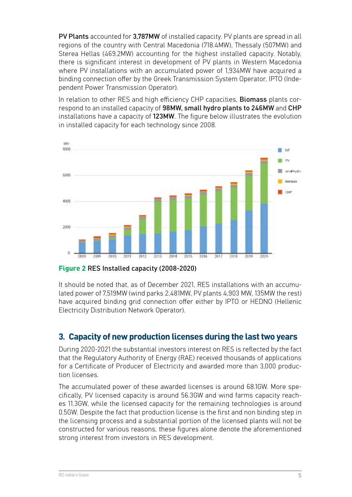<span id="page-4-0"></span>PV Plants accounted for 3,787MW of installed capacity. PV plants are spread in all regions of the country with Central Macedonia (718.4MW), Thessaly (507MW) and Sterea Hellas (469.2MW) accounting for the highest installed capacity. Notably, there is significant interest in development of PV plants in Western Macedonia where PV installations with an accumulated power of 1,934MW have acquired a binding connection offer by the Greek Transmission System Operator, IPTO (Independent Power Transmission Operator).

In relation to other RES and high efficiency CHP capacities, **Biomass** plants correspond to an installed capacity of 98MW, small hydro plants to 246MW and CHP installations have a capacity of 123MW. The figure below illustrates the evolution in installed capacity for each technology since 2008.



**Figure 2** RES Installed capacity (2008-2020)

It should be noted that, as of December 2021, RES installations with an accumulated power of 7,519MW (wind parks 2,481MW, PV plants 4,903 MW, 135MW the rest) have acquired binding grid connection offer either by IPTO or HEDNO (Hellenic Electricity Distribution Network Operator).

## **3. Capacity of new production licenses during the last two years**

During 2020-2021 the substantial investors interest on RES is reflected by the fact that the Regulatory Authority of Energy (RAE) received thousands of applications for a Certificate of Producer of Electricity and awarded more than 3,000 production licenses.

The accumulated power of these awarded licenses is around 68.1GW. More specifically, PV licensed capacity is around 56.3GW and wind farms capacity reaches 11.3GW, while the licensed capacity for the remaining technologies is around 0.5GW. Despite the fact that production license is the first and non binding step in the licensing process and a substantial portion of the licensed plants will not be constructed for various reasons, these figures alone denote the aforementioned strong interest from investors in RES development.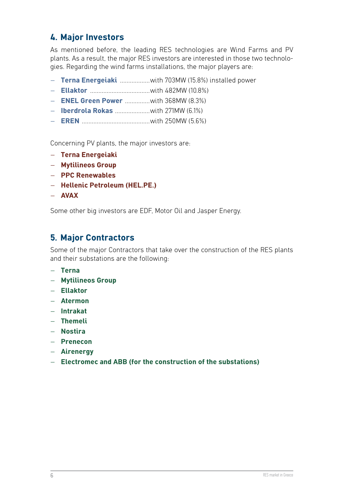## <span id="page-5-0"></span>**4. Major Investors**

As mentioned before, the leading RES technologies are Wind Farms and PV plants. As a result, the major RES investors are interested in those two technologies. Regarding the wind farms installations, the major players are:

- **Terna Energeiaki** ..................with 703MW (15.8%) installed power
- **Ellaktor** ....................................with 482MW (10.8%)
- **ENEL Green Power** ...............with 368MW (8.3%)
- **Iberdrola Rokas** .....................with 271MW (6.1%)
- **EREN** .........................................with 250MW (5.6%)

Concerning PV plants, the major investors are:

- **Terna Energeiaki**
- **Mytilineos Group**
- **PPC Renewables**
- **Hellenic Petroleum (HEL.PE.)**
- **AVAX**

Some other big investors are EDF, Motor Oil and Jasper Energy.

## **5. Major Contractors**

Some of the major Contractors that take over the construction of the RES plants and their substations are the following:

- **Terna**
- **Mytilineos Group**
- **Ellaktor**
- **Atermon**
- **Intrakat**
- **Themeli**
- **Nostira**
- **Prenecon**
- **Airenergy**
- **Electromec and ABB (for the construction of the substations)**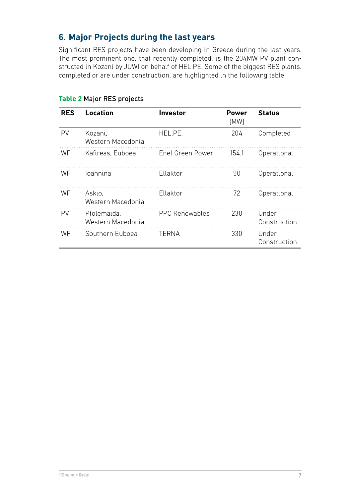# <span id="page-6-0"></span>**6. Major Projects during the last years**

Significant RES projects have been developing in Greece during the last years. The most prominent one, that recently completed, is the 204MW PV plant constructed in Kozani by JUWI on behalf of HEL.PE. Some of the biggest RES plants, completed or are under construction, are highlighted in the following table.

| <b>RES</b> | Location                         | <b>Investor</b>       | <b>Power</b><br>[MW] | <b>Status</b>         |
|------------|----------------------------------|-----------------------|----------------------|-----------------------|
| PV         | Kozani.<br>Western Macedonia     | HEL.PE.               | 204                  | Completed             |
| WF         | Kafireas, Euboea                 | Enel Green Power      | 154.1                | Operational           |
| WF         | loannina                         | Ellaktor              | 90                   | Operational           |
| WF         | Askio.<br>Western Macedonia      | Ellaktor              | 72                   | Operational           |
| PV         | Ptolemaida.<br>Western Macedonia | <b>PPC Renewables</b> | 230                  | Under<br>Construction |
| WF         | Southern Euboea                  | TERNA                 | 330                  | Under<br>Construction |

#### **Table 2** Major RES projects